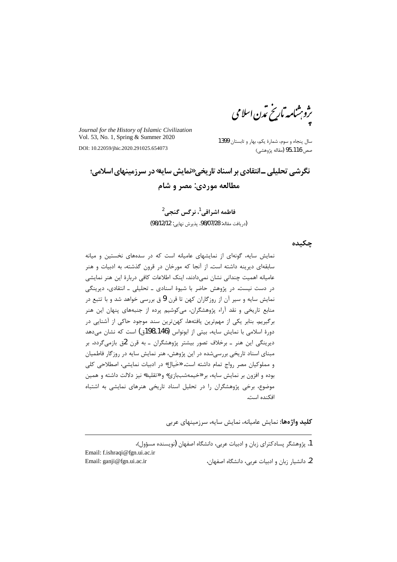ىژوېشامە بارىخ ئدن اسلامى

Journal for the History of Islamic Civilization Vol. 53, No. 1, Spring & Summer 2020

DOI: 10.22059/jhic.2020.291025.654073

سال پنجاه و سوم، شمارهٔ یکم، بهار و تابستان 1399 صص 116\_95 (مقاله پژوهشي)

نگرشي تحليلي ـانتقادي بر اسناد تاريخي «مايش سايه»در سرزمينهاي اسلامي؛ مطالعه موردي: مصر و شام

> فاطمه اشراقي<sup>1</sup>، نرگس گنجي<sup>2</sup> (دريافت مقاله: 08/07/28، پذيرش نهايي: 98/12/12)

چکىدە

نمایش سایه، گونهای از نمایشهای عامیانه است که در سدههای نخستین و میانه سابقهای دیرینه داشته است. از آنجا که مورخان در قرون گذشته، به ادبیات و هنر عامیانه اهمیت چندانی نشان نمیدادند، اینک اطلاعات کافی دربارهٔ این هنر نمایشی در دست نیست. در پژوهش حاضر با شیوهٔ اسنادی ـ تحلیلی ـ انتقادی، دیرینگی نمایش سایه و سیر آن از روزگاران کهن تا قرن 9 ق بررسی خواهد شد و با تتبع در منابع تاریخی و نقد آراء پژوهشگران، میکوشیم پرده از جنبههای پنهان این هنر برگیریم. بنابر یکی از مهمترین یافتهها، کهنترین سند موجود حاکی از آشنایی در دورهٔ اسلامی با نمایش سایه، بیتی از ابونواس (146\_198ق) است که نشان میدهد دیرینگی این هنر ـ برخلاف تصور بیشتر پژوهشگران ـ به قرن 2ق بازمیگردد. بر مبنای اسناد تاریخی بررسیشده در این پژوهش، هنر نمایش سایه در روزگار فاطمیان و مملوكيان مصر رواج تمام داشته است. «خَيال» در ادبيات نمايشي، اصطلاحي كلي بوده و افزون بر نمایش سایه، بر «خیمهشببازی» و «تقلید» نیز دلالت داشته و همین موضوع، برخی پژوهشگران را در تحلیل اسناد تاریخی هنرهای نمایشی به اشتباه افكنده است.

**کلید واژهها:** نمایش عامیانه، نمایش سایه، سرزمینهای عربی

1. پژوهشگر پسادکترای زبان و ادبیات عربی، دانشگاه اصفهان (نویسنده مسؤول)، Email: f.ishraqi@fgn.ui.ac.ir Email: ganji@fgn.ui.ac.ir 2. دانشيار زبان و ادبيات عربي، دانشگاه اصفهان،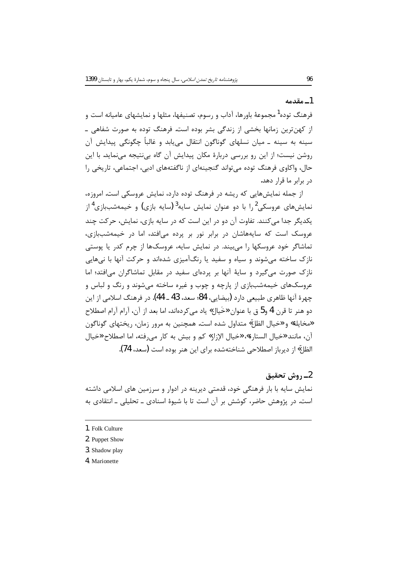#### 1ـ مقدمه

فرهنگ توده<sup>1</sup> مجموعهٔ باورها، آداب و رسوم، تصنیفها، مثلها و نمایشهای عامیانه است و از کهنترین زمانها بخشی از زندگی بشر بوده است. فرهنگ توده به صورت شفاهی ــ سينه به سينه ــ ميان نسلهاي گوناگون انتقال مي،يابد و غالباً چگونگي پيدايش آن روشن نیست؛ از این رو بررسی دربارهٔ مکان پیدایش آن گاه بی نتیجه می نماید. با این حال، واکاوی فرهنگ توده می تواند گنجینهای از ناگفتههای ادبی، اجتماعی، تاریخی را در برابر ما قرار دهد.

از جمله نمایشهایی که ریشه در فرهنگ توده دارد، نمایش عروسکی است. امروزه، نمایشهای عروسکی<sup>2</sup> را با دو عنوان نمایش سایه<sup>3</sup> (سایه بازی) و خیمهشببازی<sup>4</sup>از یکدیگر جدا میکنند. تفاوت آن دو در این است که در سایه بازی، نمایش، حرکت چند عروسک است که سایههاشان در برابر نور بر پرده می افتد، اما در خیمهشببازی، تماشاگر خود عروسکها را میبیند. در نمایش سایه، عروسکها از چرم کدر یا پوستی نازک ساخته مے شوند و سیاه و سفید یا رنگآمیزی شدهاند و حرکت آنها با نےهایی نازک صورت می گیرد و سایهٔ آنها بر پردهای سفید در مقابل تماشاگران می افتد؛ اما عروسکهای خیمهشببازی از پارچه و چوب و غیره ساخته می شوند و رنگ و لباس و چهرهٔ آنها ظاهری طبیعی دارد (بیضایی، 84؛ سعد، 43 ـ 44). در فرهنگ اسلامی از این دو هنر تا قرن 4 و5 ق با عنوان «خَيال» ياد مي كردهاند، اما بعد از آن، آرام آرام اصطلاح «مخايلة» و «خيال الظلّ» متداول شده است. همچنين به مرور زمان، ريختهاي گوناگون آن، مانند «خيال الستارة»، «خيال الإزار» كم و بيش به كار مي رفته، اما اصطلاح «خيال الظلِّ» از دیرباز اصطلاحی شناختهشده برای این هنر بوده است (سعد، 74).

### 2\_ روش تحقيق

نمایش سایه با بار فرهنگی خود، قدمتی دیرینه در ادوار و سرزمین های اسلامی داشته است. در پژوهش حاضر، کوشش بر آن است تا با شیوهٔ اسنادی ـ تحلیلی ـ انتقادی به

<sup>1.</sup> Folk Culture

<sup>2.</sup> Puppet Show

<sup>3.</sup> Shadow play

<sup>4.</sup> Marionette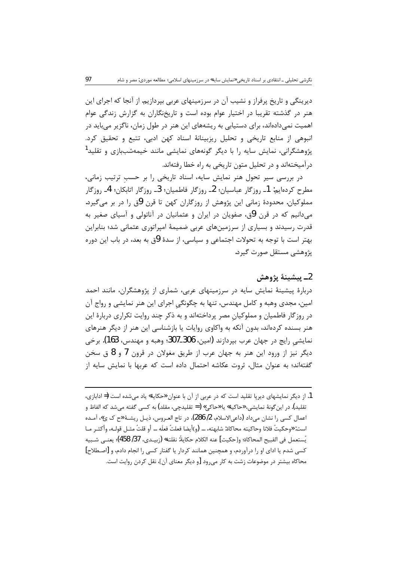دیرینگی و تاریخ پرفراز و نشیب آن در سرزمینهای عربی بپردازیم. از آنجا که اجرای این هنر در گذشته تقریبا در اختیار عوام بوده است و تاریخنگاران به گزارش زندگی عوام اهمیت نمیدادهاند، برای دستیابی به ریشههای این هنر در طول زمان، ناگزیر میباید در انبوهی از منابع تاریخی و تحلیل ریزبینانهٔ اسناد کهن ادبی، تتبع و تحقیق کرد. پژوهشگرانی، نمایش سایه را با دیگر گونههای نمایشی مانند خیمهشببازی و تقلید<sup>1</sup> درآمیختهاند و در تحلیل متون تاریخی به راه خطا رفتهاند.

در بررسی سیر تحول هنر نمایش سایه، اسناد تاریخی را بر حسب ترتیب زمانی، مطرح کردهایم: 1ـ روزگار عباسیان؛ 2ـ روزگار فاطمیان؛ 3ـ روزگار اتابکان؛ 4ـ روزگار مملوکیان. محدودهٔ زمانی این پژوهش از روزگاران کهن تا قرن 9ق را در بر میگیرد. می دانیم که در قرن 9ق، صفویان در ایران و عثمانیان در آناتولی و آسیای صغیر به قدرت رسیدند و بسیاری از سرزمینهای عربی ضمیمهٔ امپراتوری عثمانی شد؛ بنابراین بهتر است با توجه به تحولات اجتماعی و سیاسی، از سدهٔ 9ق به بعد، در باب این دوره يژوهشے مستقل صورت گيرد.

2ـ يىشىنۀ پژوھش دربارهٔ پیشینهٔ نمایش سایه در سرزمینهای عربی، شماری از پژوهشگران، مانند احمد امین، مجدی وهبه و کامل مهندس، تنها به چگونگی اجرای این هنر نمایشی و رواج آن در روزگار فاطمیان و مملوکیان مصر پرداختهاند و به ذکر چند روایت تکراری دربارهٔ این هنر بسنده کردهاند، بدون آنکه به واکاوی روایات یا بازشناسی این هنر از دیگر هنرهای نمايشي رايج در جهان عرب بپردازند (امين، 306\_307؛ وهبه و مهندس، 163). برخي دیگر نیز از ورود این هنر به جهان عرب از طریق مغولان در قرون 7 و 8 ق سخن گفتهاند؛ به عنوان مثال، ثروت عکاشه احتمال داده است که عربها با نمایش سایه از

1. از دیگر نمایشهای دیرپا تقلید است که در عربی از آن با عنوان «حکایة» یاد میشده است (= ادابازی، تقليد). در اين گونۀ نمايشي، «حاكية» يا «حاكي» ( = تقليدچي، مقلد) به كسي گفته مي شد كه الفاظ و اعمال كسي را نشان ميداد (داعي|لاسلام، 2/ 286)، در تاج العـروس، ذيـل ريشــهٔ «ح ک ي»، آمــده است: «وحكيتُ فلانا وحاكيته محاكاة: شابهته، … (و)أيضا فعلتُ فعلَه … أو قلتُ مثـل قولـه، وأكثـر مـا يُستعمل في القبيح المحاكاة؛ و[حكيت] عنه الكلام حكايةً: نقلته» (زبيـدي، 37/ 458)؛ يعنــي شـبيه کسی شدم یا ادای او را درآوردم، و همچنین همانند کردار یا گفتار کسی را انجام دادم، و [اصطلاح] محاکاه بیشتر در موضوعات زشت به کار میرود [و دیگر معنای آن]، نقل کردن روایت است.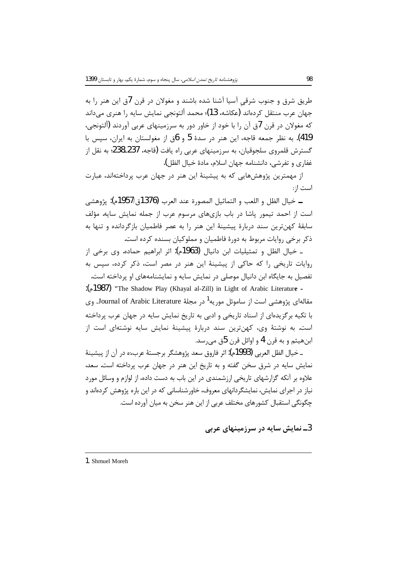طریق شرق و جنوب شرقی آسیا آشنا شده باشند و مغولان در قرن 7ق این هنر را به جهان عرب منتقل کردهاند (عکاشه، 13)؛ محمد ألتونجي نمايش سايه را هنري مي داند که مغولان در قرن 7ق آن را با خود از خاور دور به سرزمینهای عربی آوردند (التونجی، 419). به نظر جمعه قاجه، این هنر در سدهٔ 5 و 6ق از مغولستان به ایران، سپس با گسترش قلمروی سلجوقیان، به سرزمینهای عربی راه یافت (قاجه، 237\_238؛ به نقل از غفاري و تفرشي، دانشنامه جهان اسلام، مادهٔ خیال الظل).

از مهمترین پژوهش،هایی که به پیشینهٔ این هنر در جهان عرب پرداختهاند، عبارت است ا: :

ـ خيال الظل و اللعب و التماثيل المصورة عند العرب (1376<sub>ق،/</sub>1957م): يژوهشي است از احمد تیمور پاشا در باب بازیهای مرسوم عرب از جمله نمایش سایه. مؤلف سابقهٔ کهنترین سند دربارهٔ پیشینهٔ این هنر را به عصر فاطمیان بازگردانده و تنها به ذکر برخی روایات مربوط به دورهٔ فاطمیان و مملوکیان بسنده کرده است.

ـ خيال الظل و تمثيليات ابن دانيال (1963م): اثر ابراهيم حماده. وي برخي از روایات تاریخی را که حاکی از پیشینهٔ این هنر در مصر است، ذکر کرده، سیس به تفصیل به جایگاه این دانیال موصلی در نمایش سایه و نمایشنامههای او پرداخته است. : (1987م): "The Shadow Play (Khayal al-Zill) in Light of Arabic Literature

مقالهای پژوهشی است از ساموئل موریه<sup>1</sup> در مجلهٔ Journal of Arabic Literature. وی با تکیه بر گزیدهای از اسناد تاریخی و ادبی به تاریخ نمایش سایه در جهان عرب پرداخته است. به نوشتهٔ وی، کهن ترین سند دربارهٔ پیشینهٔ نمایش سایه نوشتهای است از ابنهيثم و به قرن 4 و اوائل قرن 5ق مے،رسد.

ـ خيال الظل العربي (1993م): اثر فاروق سعد يژوهشگر برجستهٔ عرب،:ه در آن از پيشينهٔ نمایش سایه در شرق سخن گفته و به تاریخ این هنر در جهان عرب پرداخته است. سعد، علاوه بر آنکه گزارشهای تاریخی ارزشمندی در این باب به دست داده، از لوازم و وسائل مورد .<br>نیاز در اجرای نمایش، نمایشگردانهای معروف، خاورشناسانی که در این باره پژوهش کردهاند و چگونگی استقبال کشورهای مختلف عربی از این هنر سخن به میان آورده است.

3ــ نمایش سایه در سرزمینهای عربی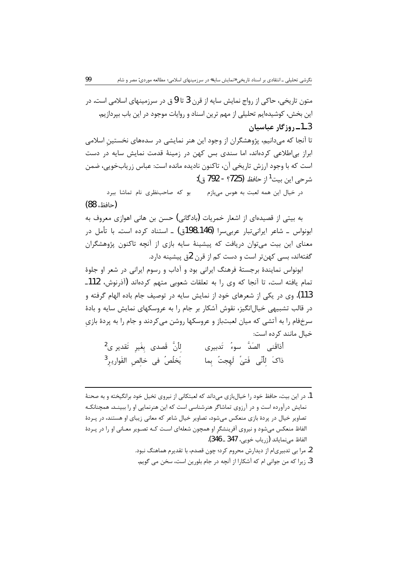متون تاریخی، حاکی از رواج نمایش سایه از قرن 3 تا 9 ق در سرزمینهای اسلامی است. در این بخش، کوشیدهایم تحلیلی از مهم ترین اسناد و روایات موجود در این باب بیردازیم. 3\_1\_روزگار عباسیان

تا آنجا که میدانیم، پژوهشگران از وجود این هنر نمایشی در سدههای نخستین اسلامی ابراز بی اطلاعی کردهاند، اما سندی بس کهن در زمینهٔ قدمت نمایش سایه در دست است که با وجود ارزش تاریخی آن، تاکنون نادیده مانده است: عباس زریابخویی، ضمن شرحي اين بيت<sup>1</sup> از *حافظ* (725؟ - 792 ق.):

در خيال اين همه لعبت به هوس مي بازم بو كه صاحب نظري نام تماشا ببرد (حافظ، 88)

به بیتی از قصیدهای از اشعار خمریات (بادگانی) حسن بن هانی اهوازی معروف به ابونواس ۔ شاعر ایرانی تبار عربے سرا (146ـ198ق) ۔ استناد کردہ است. با تأمل در معنای این بیت می توان دریافت که پیشینهٔ سایه بازی از آنچه تاکنون پژوهشگران گفتهاند، بسی کهنتر است و دست کم از قرن 2ق پیشینه دارد.

ابونواس نمایندهٔ برجستهٔ فرهنگ ایرانی بود و آداب و رسوم ایرانی در شعر او جلوهٔ تمام یافته است، تا آنجا که وی را به تعلقات شعوبی متهم کردهاند (آذرنوش، 112ـ 113). وي در يكي از شعرهاي خود از نمايش سايه در توصيف جام باده الهام گرفته و در قالب تشبیهی خیالانگیز، نقوش آشکار بر جام را به عروسکهای نمایش سایه و بادهٔ سرخفام را به آتشی که میان لعبتباز و عروسکها روشن میکردند و جام را به پردهٔ بازی خيال مانند کړده است:

| لِلَّنَّ قَصدى بِغَيرِ تَقدير ى <sup>2</sup> |  | أذاقَنى الصَدَّ سوءُ تَدبيرى     |  |
|----------------------------------------------|--|----------------------------------|--|
| يَخلُصُ في خالِصِ القَواريرِ <sup>3</sup>    |  | ذاكَ لِأَنَّى فَتيْ لَهِجتُ بِما |  |

1. در این بیت، حافظ خود را خیالبازی میداند که لعبتکانی از نیروی تخیل خود برانگیخته و به صحنهٔ نمایش درآورده است و در آرزوی تماشاگر هنرشناسی است که این هنرنمایی او را ببینـد. همچنانکـه تصاویر خیال در پردة بازی منعکس میشود، تصاویر خیال شاعر که معانی زیبای او هستند، در پـردهٔ الفاظ منعکس می شود و نیروی آفرینشگر او همچون شعلهای است کـه تصـویر معـانی او را در پـردهٔ الفاظ مي نماياند (زرياب خويي، 347 ــ 346).

2. مرا بے تدبیری|م از دیدارش محروم کرد؛ چون قصدم، با تقدیرم هماهنگ نبود.

3. زيرا كه من جواني ام كه آشكارا از آنچه در جام بلورين است، سخن مي گويم.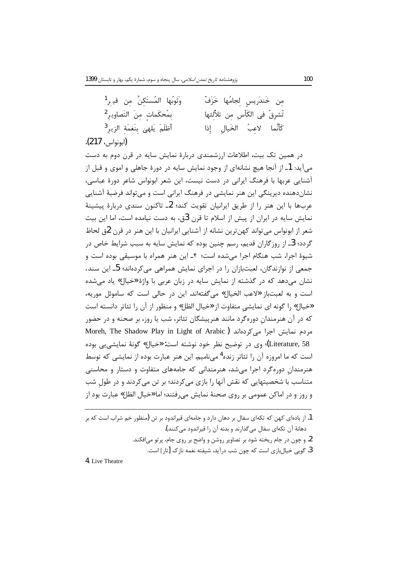| وَثَوبُها المُستَكِنِّ مِن قي <sub>ـ</sub> ر <sup>1</sup> | مِن خَندَرِيسٍ لِجامُها خَزَفٌ     |
|-----------------------------------------------------------|------------------------------------|
| بِمُحكَماتٍ مِنَ التَصاويرِ <sup>2</sup>                  | تُشرِقُ في الكَأْسِ مِن تلاَّلِئها |
| أظلَمَ يَلهيْ بِنَغمَةِ الزيرِ <sup>3</sup>               | كَأَنَّما لاعبُ الخَيالِ إِذا      |
| (ابونواس، 217).                                           |                                    |

در همین تک بیت، اطلاعات ارزشمندی دربارهٔ نمایش سایه در قرن دوم به دست میآید: 1ـ از آنجا هیچ نشانهای از وجود نمایش سایه در دورهٔ جاهلی و اموی و قبل از آشنایی عربها با فرهنگ ایرانی در دست نیست، این شعر ابونواس شاعر دورهٔ عباسی، نشاندهنده دیرینگی این هنر نمایشی در فرهنگ ایرانی است و می تواند فرضیهٔ آشنایی عربها با این هنر را از طریق ایرانیان تقویت کند؛ 2ـ تاکنون سندی دربارهٔ پیشینهٔ نمایش سایه در ایران از پیش از اسلام تا قرن 3ق، به دست نیامده است، اما این بیت شعر از ابونواس می تواند کهن ترین نشانه از آشنایی ایرانیان با این هنر در قرن 2ق لحاظ گردد؛ 3ـ از روزگاران قدیم، رسم چنین بوده که نمایش سایه به سبب شرایط خاص در شيوهٔ اجرا، شب هنگام اجرا می شده است؛ ۴ـ اين هنر همراه با موسيقی بوده است و جمعی از نوازندگان، لعبتبازان را در اجرای نمایش همراهی می کردهاند؛ 5ـ این سند، نشان می دهد که در گذشته از نمایش سایه در زبان عربی با واژهٔ «خیال» یاد می شده است و به لعبتباز «لاعب الخيال» مي گفتهاند. اين در حالي است كه ساموئل موريه، «خيال» ,ا گونه اي نمايشي متفاوت از «خيال الظل» و منظور از آن ,ا تئاتر دانسته است که در آن هنرمندان دورهگرد مانند هنرپیشگان تئاتر، شب یا روز، بر صحنه و در حضور Moreh, The Shadow Play in Light of Arabic) مردم نمایش اجرا می کردهاند Literature, 58)؛ وي در توضيح نظر خود نوشته است: «خيال» گونهٔ نمايشي پي بوده است که ما امروزه آن را تئاتر زنده<sup>4</sup> میiبامیم. این هنر عبارت بوده از نمایشی که توسط هنرمندان دوره گرد اجرا می شد، هنرمندانی که جامههای متفاوت و دستار و محاسنی متناسب با شخصیتهایی که نقش آنها را بازی می کردند؛ بر تن می کردند و در طول شب و روز و در اماكن عمومي بر روي صحنهٔ نمايش مي فتند؛ اما «خيال الظل» عبارت بود از

1. از بادهای کهن که تکهای سفال بر دهان دارد و جامهای قیراندود بر تن (منظور خم شراب است که بر دهانهٔ آن تکهای سفال مے گذارند و بدنه آن را قبراندود مے کنند). 2. و چون در جام ریخته شود بر تصاویر روشن و واضح بر روی جام، پرتو می|فکند. 3. گوپی خیالبازی است که چون شب درآید، شیفته نغمه نازک [تار] است.

4. Live Theatre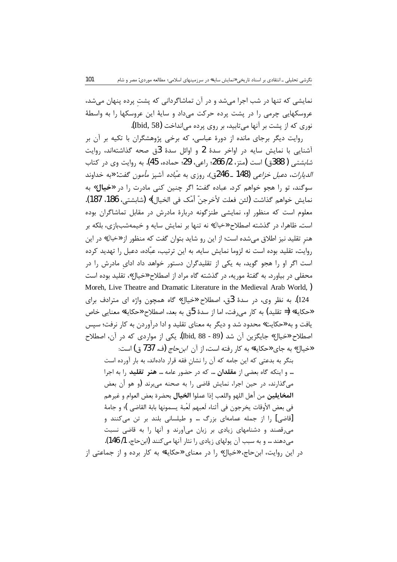نمایشی که تنها در شب اجرا میشد و در آن تماشاگردانی که پشت پرده پنهان میشد، عروسکهایی چرمی را در پشت پرده حرکت میداد و سایهٔ این عروسکها را به واسطهٔ نوري كه از پشت بر آنها ميتابيد، بر روي پرده ميانداخت (Ibid, 58).

روایت دیگر برجای مانده از دورهٔ عباسی، که برخی پژوهشگران با تکیه بر آن بر آشنایی با نمایش سایه در اواخر سدهٔ 2 و اوائل سدهٔ 3ق صحه گذاشتهاند، روایت *شابشتي (* 388ق) است (متز، 2/ 266؛ راعي، 29؛ حماده، 45). به روايت وي در كتاب *الديارات*، د*عبل خزاعي* (148 ـ 246ق)، روزي به *عبّاده* آشيز *مأمون* گفت: «به خداوند سوگند، تو را هجو خواهم کرد. عباده گفت: اگر چنین کنی مادرت را در **«خیال»** به نمايش خواهم گذاشت (لئن فعلت لأخرجنّ أمّك في الخيال)» (شابشتي، 186، 187). معلوم است که منظور او، نمایشی طنزگونه دربارهٔ مادرش در مقابل تماشاگران بوده است. ظاهرا، در گذشته اصطلاح «خیال» نه تنها بر نمایش سایه و خیمهشببازی، بلکه بر هنر تقليد نيز اطلاق مي شده است؛ از اين رو شايد بتوان گفت كه منظور از «خيال» در اين روايت، تقليد بوده است نه لزوما نمايش سايه. به اين ترتيب، عبّاده، دعبل را تهديد كرده است اگر او را هجو گوید، به یکی از تقلیدگران دستور خواهد داد ادای مادرش را در محفلی در بیاورد. به گفتهٔ موریه، در گذشته گاه مراد از اصطلاح «خیال»، تقلید بوده است Moreh, Live Theatre and Dramatic Literature in the Medieval Arab World, ) 124). به نظر وي، در سدهٔ 3ق، اصطلاح «خیال» گاه همچون واژه ای مترادف برای «حكاية» (= تقليد) به كار مي رفت، اما از سدة 5ق به بعد، اصطلاح «حكاية» معنايي خاص یافت و به «حکایت» محدود شد و دیگر به معنای تقلید و ادا درآوردن به کار نرفت؛ سپس اصطلاح «خيال» جايگزين آن شد (89 - 88 ,Ibid). يكي از مواردي كه در آن، اصطلاح «خيال» به جاي «حكاية» به كار رفته است، از آن *ابن حاج* (ف. 737 ق) است:

بنگر به بدعتی که این جامه که آن را نشان فقه قرار دادهاند، به بار آورده است … و اینکه گاه بعضی از **مقلدان** … که در حضور عامه … **هنر تقلید** را به اجرا میگذارند، در حین اجرا، نمایش قاضی را به صحنه میبرند (و هو أن بعض **المخايلين** من أهل اللهو واللعب إذا عملوا **الخيال** بحضرة بعض العوام و غيرهم في بعض الأوقات يخرجون في أثناء لَعبهم لَعْبة يسمونها بابة القاضي )؛ و جامهٔ [قاضی] را از جمله عمامهای بزرگ … و طیلسانی بلند بر تن میکنند و می رقصند و دشنامهای زیادی بر زبان میآورند و آنها را به قاضی نسبت میدهند … و به سبب آن پولهای زیادی را نثار آنها میکنند (ابنحاج، 1/ 146). در این روایت، ابن حاج، «خیال» را در معنای «حکایة» به کار برده و از جماعتی از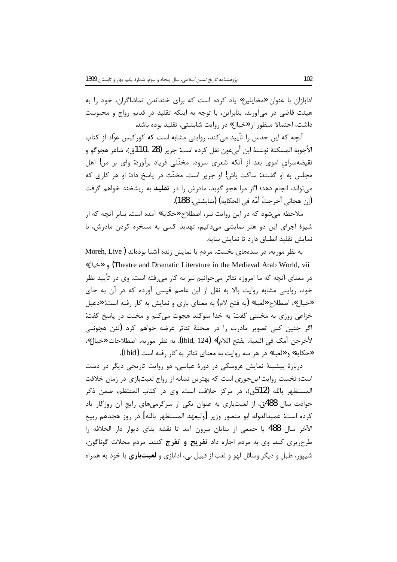ادابازان با عنوان «مخایلین» یاد کرده است که برای خنداندن تماشاگران، خود را به هیئت قاضی در میآورند. بنابراین، با توجه به اینکه تقلید در قدیم رواج و محبوبیت داشت، احتمالا منظور از «خیال» در روایت شابشتی، تقلید بوده باشد.

آنچه که این حدس را تأیید میکند، روایتی مشابه است که کورکیس عوّاد از کتاب الأجوبة المسكتة نوشتهٔ ابن أبيعون نقل كرده است: جرير (28 ـ110ق)، شاعر هجوگو و نقیضهسرای اموی بعد از آنکه شعری سرود، مخنّثی فریاد برآورد: وای بر من! اهل مجلس به او گفتند: ساکت باش! او جریر است. مخنّث در پاسخ داد: او هر کاری که می تواند، انجام دهد؛ اگر مرا هجو گوید، مادرش را در **تقلید** به ریشخند خواهم گرفت (إن هجاني أخرجتُ أمَّه في الحكاية) (شايشتي، 188).

ملاحظه میشود که در این روایت نیز، اصطلاح «حکایة» آمده است. بنابر آنچه که از شیوهٔ اجرای این دو هنر نمایشی میدانیم، تهدید کسی به مسخره کردن مادرش، با نمايش تقليد انطباق دارد تا نمايش سايه.

به نظر موریه، در سدههای نخست، مردم با نمایش زنده آشنا بودهاند ( Moreh, Live «خيال» (Theatre and Dramatic Literature in the Medieval Arab World, vii در معنای آنچه که ما امروزه تئاتر میخوانیم نیز به کار میرفته است. وی در تأیید نظر خود، روایتی مشابه روایت بالا به نقل از ابن عاصم قیسی آورده که در آن به جای «خيال»، اصطلاح «لَعبة» (به فتح لام) به معناي بازي و نمايش به كار رفته است: «دعبل خزاعي روزي به مخنثي گفت. به خدا سوگند هجوت مي كنم و مخنث در پاسخ گفت: اگر چنین کنی تصویر مادرت را در صحنهٔ تئاتر عرضه خواهم کرد (لئن هجونتی لأخرجن أمك في اللعبة، بفتح اللام)» (Ibid, 124). به نظر موريه، اصطلاحات «خيال»، «حكاية» و «لعبة» در هر سه روايت به معناى تئاتر به كار رفته است (Ibid).

دربارهٔ پیشینهٔ نمایش عروسکی در دورهٔ عباسی، دو روایت تاریخی دیگر در دست است؛ نخست روایت *ابن جوزی* است که بهترین نشانه از رواج لعبتبازی در زمان خلافت المستظهر بالله (512ق)، در مركز خلافت است. وى در كتاب المنتظم، ضمن ذكر حوادث سال 488ق، از لعبتبازی به عنوان یکی از سرگرمیهای رایج آن روزگار یاد كرده است: عميدالدوله ابو منصور وزير [وليعهد المستظهر بالله] در روز هجدهم ربيع الآخر سال 488 با جمعی از بنایان بیرون آمد تا نقشه بنای دیوار دار الخلافه را طرح یزی کند. وی به مردم اجازه داد **تفریح و تفرج** کنند. مردم محلات گوناگون، شیپور، طبل و دیگر وسائل لهو و لعب از قبیل نی، ادابازی و **لعبتبازی** با خود به همراه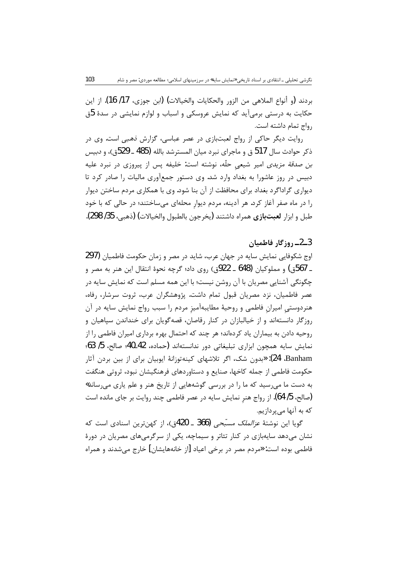بردند (و أنواع الملاهي من الزور والحكايات والخيالات) (ابن جوزي، 17/ 16). از اين حکایت به درستی برمیآید که نمایش عروسکی و اسباب و لوازم نمایشی در سدهٔ 5ق رواج تمام داشته است.

روایت دیگر حاکی از رواج لعبتبازی در عصر عباسی، گزارش نهبی است. وی در ذكر حوادث سال 517 ق و ماجراي نبرد ميان المسترشد بالله (485 ــ 529ق)، و دبيس ب*ن صدقة مزيدى* امير شيعى حلّه، نوشته است: خليفه پس از پيروزى در نبرد عليه دبیس در روز عاشورا به بغداد وارد شد. وی دستور جمعآوری مالیات را صادر کرد تا دیواری گراداگرد بغداد برای محافظت از آن بنا شود. وی با همکاری مردم ساختن دیوار را در ماه صفر آغاز کرد. هر آدینه، مردم دیوار محلهای می ساختند؛ در حالی که با خود طبل و ابزار **لعبتبازي** همراه داشتند (يخرجون بالطبول والخيالات) (ذهبي، 35/ 298).

#### 3ــ2ــ روزگار فاطميان

اوج شکوفایی نمایش سایه در جهان عرب، شاید در مصر و زمان حکومت فاطمیان (297 ـ 567ق) و مملوكيان (648 ـ 922ق) روى داد؛ گرچه نحوهٔ انتقال اين هنر به مصر و چگونگی آشنایی مصریان با آن روشن نیست؛ با این همه مسلم است که نمایش سایه در عصر فاطمیان، نزد مصریان قبول تمام داشت. پژوهشگران عرب، ثروت سرشار، رفاه، هنردوستی امیران فاطمی و روحیهٔ مطایبهآمیز مردم را سبب رواج نمایش سایه در آن روزگار دانستهاند و از خیالبازان در کنار رقاصان، قصهگویان برای خنداندن سیاهیان و روحیه دادن به بیماران یاد کردهاند؛ هر چند که احتمال بهره برداری امیران فاطمی را از نمايش سايه همچون ابزاري تبليغاتي دور ندانستهاند (حماده، 42\_40؛ صالح، 5/ 63؛ Banham): «بدون شک، اگر تلاشهای کینهتوزانهٔ ایوبیان برای از بین بردن آثار حکومت فاطمی از جمله کاخها، صنایع و دستاوردهای فرهنگیشان نبود، ثروتی هنگفت به دست ما می رسید که ما را در بررسی گوشههایی از تاریخ هنر و علم یاری می رساند» (صالح، 5/ 64). از رواج هنر نمایش سایه در عصر فاطمی چند روایت بر جای مانده است که به آنها می پردازیم.

گویا این نوشتهٔ *عزالملک مسبّحی* (366 ـ 420ق)، از کهنترین اسنادی است که نشان میدهد سایهبازی در کنار تئاتر و سیماچه، یکی از سرگرمیهای مصریان در دورهٔ فاطمي بوده است: «مردم مصر در برخي اعياد [از خانههايشان] خارج مي شدند و همراه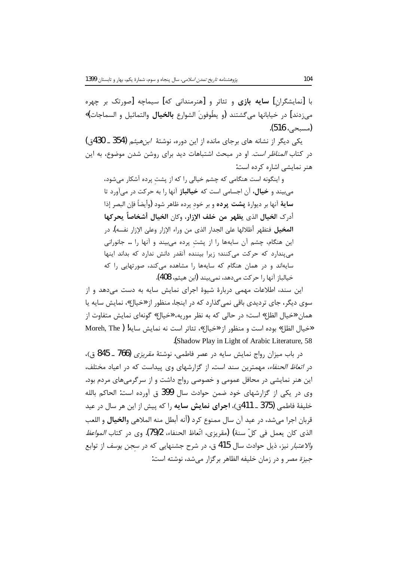با [نمایشگران] **سایه بازی** و تئاتر و [هنرمندانی که] سیماچه [صورتک بر چهره مے،زدند] در خیابانها مے گشتند (و یطُوفونَ الشوارع **بالخیال** والتماثیل و السماجات)» (مسيحي، 516).

یکی دیگر از نشانه های برجای مانده از این دوره، نوشتهٔ *ابن هیثم* (354 ـ 430ق) در کتاب *المناظر است.* او در مبحث اشتباهات دید برای روشن شدن موضوع، به این هنر نمایشی اشاره کرده است:

و اینگونه است هنگامی که چشم خیالی را که از پشت پرده آشکار میشود، میبیند و **خیال**، آن اجسامی است که **خیالباز** آنها را به حرکت در میآورد تا **ساية** آنها بر ديوارة **پشت پرده** و بر خود پرده ظاهر شود (وأيضاً فإن البصر إذا أدرك الخيال الذي يظهر من خلف الإزار، وكان الخيال أشخاصاً يحركها **المخيل** فتظهر أظلالها علىٰ الجدار الذي من وراء الإزار وعلىٰ الإزار نفسه). در این هنگام، چشم آن سایهها را از پشت پرده میبیند و آنها را … جانورانی می پندارد که حرکت میکنند؛ زیرا بیننده آنقدر دانش ندارد که بداند اینها سایهاند و در همان هنگام که سایهها را مشاهده میکند، صورتهایی را که خيالباز آنها را حركت مي دهد، نمي بيند (ابن هيثم، 408).

این سند، اطلاعات مهمی دربارهٔ شیوهٔ اجرای نمایش سایه به دست می دهد و از سوی دیگر، جای تردیدی باقی نمی گذارد که در اینجا، منظور از «خیال»، نمایش سایه یا همان «خیال الظل» است؛ در حالی که به نظر موریه، «خیال» گونهای نمایش متفاوت از «خيال الظل» بوده است و منظور از «خيال»، تئاتر است نه نمايش سايه! ( Moreh, The (Shadow Play in Light of Arabic Literature, 58).

در باب میزان رواج نمایش سایه در عصر فاطمی، نوشتهٔ *مقریزی* (766 ـ 845 ق)، در *اتعاظ الحنفاء،* مهمترین سند است. از گزارشهای وی پیداست که در اعیاد مختلف، این هنر نمایشی در محافل عمومی و خصوصی رواج داشت و از سرگرمیهای مردم بود. وى در يكي از گزارشهاى خود ضمن حوادث سال 399 ق آورده است: الحاكم بالله خليفهٔ فاطمي (375 ــ 411ق)، **اجراي نمايش سايه** را كه پيش از اين هر سال در عيد قربان اجرا مي شد، در عيد آن سال ممنوع كرد (أنه أبطل منه الملاهي و**الخيال** و اللعب الذي كان يعمل في كلِّ سنة) (مقريزي، اتّعاظ الحنفاء، 79/2). وي در كتاب *المواعظ* و*الاعتبار* نیز، ذیل حوادث سال 415 ق، در شرح جشنهایی که در *سجن یوسف* از توابع جيزة مصر و در زمان خليفه الظاهر برگزار مي شد، نوشته است: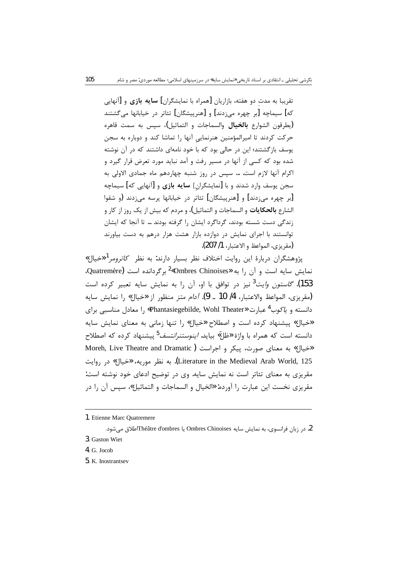تقریبا به مدت دو هفته، بازاریان [همراه با نمایشگران] **سایه بازی** و [آنهایی که] سیماچه [بر چهره می;دند] و [هنرییشگان] تئاتر در خیابانها می گشتند (بطرقون الشوارع **بالخيال** والسماجات و التماثيل)، سيس به سمت قاهره حرکت کردند تا امیرالمؤمنین هنرنمایی آنها را تماشا کند و دوباره به سجن یوسف بازگشتند؛ این در حالی بود که با خود نامهای داشتند که در آن نوشته شده بود که کسی از آنها در مسیر رفت و آمد نباید مورد تعرض قرار گیرد و اکرام آنها لازم است. … سیس در روز شنبه چهاردهم ماه جمادی الاولی به سجن یوسف وارد شدند و با [نمایشگران] **سایه بازی** و [آنهایی که] سیماچه [بر چهره می;دند] و [هنرپیشگان] تئاتر در خیابانها پرسه می;دند (و شقوا الشارع **بالحكايات** و السماجات و التماثيل)، و مردم كه بيش از يک روز از كار و زندگی دست شسته بودند، گرداگرد ایشان را گرفته بودند … تا آنجا که ایشان توانستند با اجرای نمایش در دوازده بازار هشت هزار درهم به دست بیاورند (مقربزي، المواعظ و الاعتبار، 1/ 207).

پژوهشگران دربارهٔ این روایت اختلاف نظر بسیار دارند: به نظر *کاترومر<sup>1</sup> «خ*یال» نمایش سایه است و آن ۱٫ به «Ombres Chinoises» برگردانده است Quatremère). 153). *گاستون وايت<sup>3</sup> ني*ز در توافق با او، آن را به نمايش سايه تعبير كرده است (مقريزي، المواعظ والاعتبار، 4/ 10 \_ 9). *آدام متز* منظور از «خيال» را نمايش سايه دانسته و *یاکوب<sup>4</sup> ع*بارت «Phantasiegebilde, Wohl Theater» را معادل مناسبی برای «خیال» پیشنهاد کرده است و اصطلاح «خیال» را تنها زمانی به معنای نمایش سایه دانسته است که همراه با واژة «ظلّ» بیاید. *اینوستنرانتسف<sup>5</sup> پی*شنهاد کرده که اصطلاح Moreh, Live Theatre and Dramatic) (هخيال» به معناي صورت، پيكر و اجراست Literature in the Medieval Arab World, 125). به نظر موريه، «خيال» در روايت مقریزی به معنای تئاتر است نه نمایش سایه. وی در توضیح ادعای خود نوشته است: مقريزي نخست اين عبارت را آورده: «الخيال و السماجات و التماثيل»، سيس آن را در

2. در زبان فرانسوی، به نمایش سایه Ombres Chinoises یا Théâtre d'ombresاطلاق مے شود. 3. Gaston Wiet

5. K. Inostrantsev

<sup>1.</sup> Etienne Marc Ouatremere

 $4. G.$  Jocob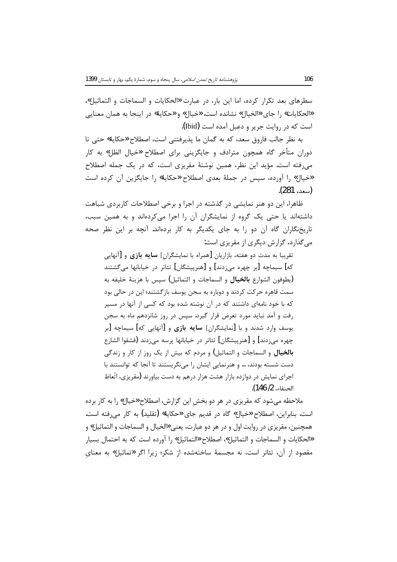سطرهای بعد تکرار کرده، اما این بار، در عبارت «الحکایات و السماجات و التماثیل»، «الحكايات» , ا جاي «الخيال» نشانده است. «خيال» و «حكاية» در اينجا به همان معنايي است که در روایت جریر و دعبل آمده است (Ibid).

به نظر جالب فاروق سعد، كه به گمان ما پذيرفتني است، اصطلاح «حكاية» حتى تا دوران متأخر گاه همچون مترادف و جایگزینی برای اصطلاح «خیال الظل» به کار می رفته است. مؤید این نظر، همین نوشتهٔ مقریزی است، که در یک جمله اصطلاح «خيال» را آورده، سپس در جملهٔ بعدي اصطلاح «حکاية» را جايگزين آن کرده است (سعد، 281).

ظاهرا، این دو هنر نمایشی در گذشته در اجرا و برخی اصطلاحات کاربردی شباهت داشتهاند یا حتی یک گروه از نمایشگران آن را اجرا میکردهاند و به همین سبب، تاریخنگاران گاه آن دو را به جای یکدیگر به کار بردهاند. آنچه بر این نظر صحه میگذارد، گزارش دیگری از مقریزی است:

تقریبا به مدت دو هفته، بازاریان [همراه با نمایشگران] **سایه بازی** و [آنهایی که] سیماچه [بر چهره می;دند] و [هنرییشگان] تئاتر در خیابانها م*ی گ*شتند (يطوفون الشوارع **بالخيال** و السماجات و التماثيل) سيس با هزينهٔ خليفه به سمت قاهره حرکت کردند و دوباره به سجن پوسف بازگشتند؛ این در حالی بود که با خود نامهای داشتند که در آن نوشته شده بود که کسی از آنها در مسیر رفت و آمد نباید مورد تعرض قرار گیرد. سپس در روز شانزدهم ماه به سجن بوسف وارد شدند و با [نمایشگران] **سایه بازی** و [آنهایی که] سیماچه [بر چهره مي;دند] و [هنرييشگان] تئاتر در خيابانها پرسه مي;دند (فشقوا الشارع **بالخیال** و السماجات و التماثیل) و مردم که بیش از یک روز از کار و زندگی دست شسته بودند، … و هنرنمایی ایشان را می نگریستند تا آنجا که توانستند با اجرای نمایش در دوازده بازار هشت هزار درهم به دست بیاورند (مقریزی، اتّعاظ الحنفاء، 2/ 146).

ملاحظه می شود که مقریزی در هر دو بخش این گزارش، اصطلاح «خیال» را به کار برده است. بنابراین، اصطلاح «خیال» گاه در قدیم جای «حکایة» (تقلید) به کار می رفته است. همچنين، مقريزي در روايت اول و در هر دو عبارت، يعني «الخيال و السماجات و التماثيل» و «الحكايات و السماجات و التماثيل»، اصطلاح «التماثيل» ,ا آورده است كه به احتمال بسيار مقصود از آن، تئاتر است، نه مجسمهٔ ساختهشده از شکر؛ زیرا اگر «تماثیل» به معنای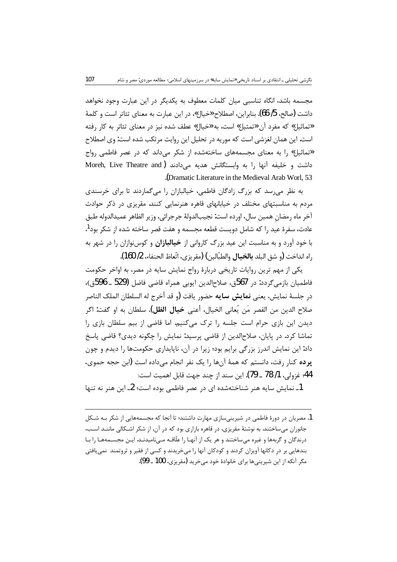مجسمه باشد، انگاه تناسبی میان کلمات معطوف به یکدیگر در این عبارت وجود نخواهد داشت (صالح، 5/ 66). بنابراین، اصطلاح «خیال»، در این عبارت به معنای تئاتر است و کلمهٔ «تماثیل» که مفرد آن «تمثیل» است، به «خیال» عطف شده نیز در معنای تئاتر به کار رفته است. این همان لغزشی است که موریه در تحلیل این روایت مرتکب شده است: وی اصطلاح «تماثیل» را به معنای مجسمههای ساختهشده از شکر می داند که در عصر فاطمی رواج داشت و خليفه آنها را به وابستگانش هديه مي دادند (Moreh, Live Theatre and (Dramatic Literature in the Medieval Arab Worl, 53).

به نظر میرسد که بزرگ زادگان فاطمی، خیالبازان را میگماردند تا برای خرسندی مردم به مناسبتهای مختلف در خیابانهای قاهره هنرنمایی کنند. مقریزی در ذکر حوادث آخر ماه رمضان همين سال، اورده است: نجيبالدولة جرجرائي، وزير الظاهر عميدالدوله طبق عادت، سفرهٔ عید را که شامل دویست قطعه مجسمه و هفت قصر ساخته شده از شکر بود<sup>1</sup>، با خود آورد و به مناسبت این عید بزرگ کاروانی از **خیالبازان** و کوسiوازان را در شهر به راه انداخت (و شق البلد **بالخيال** والطبّالين) (مقريزي، اتّعاظ الحنفاء، 2/ 160).

یکی از مهم ترین روایات تاریخی دربارهٔ رواج نمایش سایه در مصر، به اواخر حکومت فاطميان بازمي گردد: در 567ق، صلاحالدين ايوبي همراه قاضي فاضل (529 ـ 596ق)، در جلسهٔ نمایش، یعنی **نمایش سایه** حضور یافت (و قد أخرج له السلطان الملک الناصر صلاح الدين من القصر مَن يُعانى الخيال، أعنى **خيال الظل)**. سلطان به او گفت: اگر دیدن این بازی حرام است جلسه را ترک میکنیم. اما قاضی از بیم سلطان بازی را تماشا کرد. در پایان، صلاح|لدین از قاضی پرسید: نمایش را چگونه دیدی؟ قاضی پاسخ داد: این نمایش اندرز بزرگی برایم بود؛ زیرا در آن، ناپایداری حکومتها را دیدم و چون **یرده** کنا<sub>ر د</sub>فت، دانستم که همهٔ آنها را یک نفر انجام می داده است (ابن حجه حموی، 44؛ غزولي، 1/ 78 ــ 79). اين سند از چند جهت قابل اهميت است:

1ـ نمايش سايه هنر شناختهشده اي در عصر فاطمي بوده است؛ 2ـ اين هنر نه تنها

1. مصریان در دورهٔ فاطمی در شیرینیسازی مهارت داشتند؛ تا آنجا که مجسمههایی از شکر بـه شـکل جانوران می ساختند. به نوشتهٔ مقریزی، در قاهره بازاری بود که در آن، از شکر اشـکالی ماننــد اسـب، درندگان و گربهها و غیره میساختند و هر یک از آنهـا را علّاقــه مــیiامیدنــد. ایــن مجســمههـا را بــا بندهایی بر در دکانها آویزان کردند و کودکان آنها را میخریدند و کسی از فقیر و ثروتمند نمیبافتی مگر آنکه از این شیرینی ها برای خانوادهٔ خود می خرید (مقریزی، 100 ـ 99).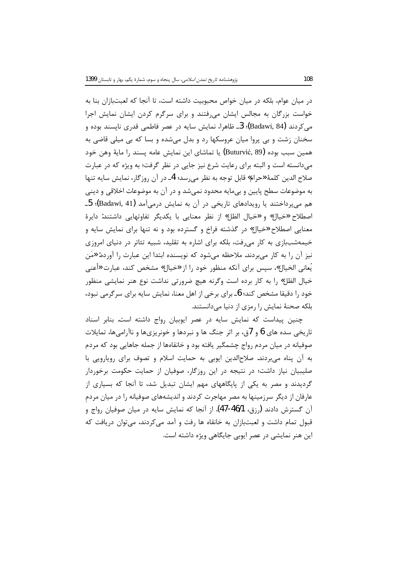در میان عوام، بلکه در میان خواص محبوبیت داشته است، تا آنجا که لعبتبازان بنا به خواست بزرگان به مجالس ایشان می رفتند و برای سرگرم کردن ایشان نمایش اجرا می کردند (Badawi, 84)؛ 3ــ ظاهرا، نمایش سایه در عصر فاطمی قدری ناپسند بوده و سخنان زشت و بی پروا میان عروسکها رد و بدل میشده و بسا که بی میلی قاضی به همین سبب بوده (Buturvić, 89) یا تماشای این نمایش عامه پسند را مایهٔ وهن خود می دانسته است و البته برای رعایت شرع نیز جایی در نظر گرفت؛ به ویژه که در عبارت صلاح الدين كلمة «حرام» قابل توجه به نظر مي رسد؛ 4\_ در آن روزگار، نمايش سايه تنها به موضوعات سطح پایین و بیمایه محدود نمیشد و در آن به موضوعات اخلاقی و دینی هم می پرداختند یا رویدادهای تاریخی در آن به نمایش درمیآمد (Badawi, 41)؛ 5\_ اصطلاح «خیال» و «خیال الظل» از نظر معنایی با یکدیگر تفاوتهایی داشتند: دایرهٔ معنایی اصطلاح «خیال» در گذشته فراخ و گسترده بود و نه تنها برای نمایش سایه و خیمهشببازی به کار می رفت، بلکه برای اشاره به تقلید، شبیه تئاتر در دنیای امروزی نیز آن را به کار میبردند. ملاحظه میشود که نویسنده ابتدا این عبارت را آورده: «مَن يُعاني الخيال»، سپس براي آنكه منظور خود را از «خيال» مشخص كند، عبارت «أعني خيال الظل» را به كار برده است وگرنه هيچ ضرورتي نداشت نوع هنر نمايشي منظور خود را دقیقا مشخص کند؛ 6ـ برای برخی از اهل معنا، نمایش سایه برای سرگرمی نبود، بلکه صحنهٔ نمایش را رمزی از دنیا میدانستند.

چنین ییداست که نمایش سایه در عصر ایوبیان رواج داشته است. بنابر اسناد تاریخی سده های 6 و 7ق، بر اثر جنگ ها و نبردها و خونریزیها و ناآرامیها، تمایلات صوفیانه در میان مردم رواج چشمگیر یافته بود و خانقاهها از جمله جاهایی بود که مردم به أن پناه میبردند. صلاحالدین ایوبی به حمایت اسلام و تصوف برای رویارویی با صلیبیان نیاز داشت؛ در نتیجه در این روزگار، صوفیان از حمایت حکومت برخوردار گردیدند و مصر به یکی از پایگاههای مهم ایشان تبدیل شد، تا آنجا که بسیاری از عارفان از دیگر سرزمینها به مصر مهاجرت کردند و اندیشههای صوفیانه را در میان مردم آن گسترش دادند (رزق، 46/1-47). از آنجا که نمایش سایه در میان صوفیان رواج و قبول تمام داشت و لعبتبازان به خانقاه ها رفت و آمد می کردند، می توان دریافت که این هنر نمایشی در عصر ایوبی جایگاهی ویژه داشته است.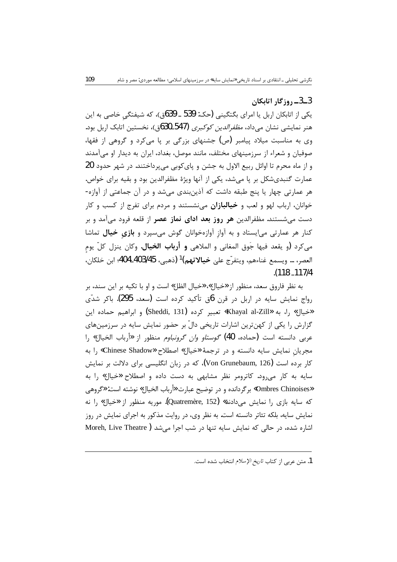# 3\_3\_ روزگار اتابكان

یکی از اتابکان اربل یا امرای بگتگینی (حک: 539 ـ 639ق)، که شیفتگی خاصی به این هنر نمایشی نشان می داد، *مظفرالدین کوکبری* (547\_630ق)، نخستین اتابک اربل بود. وی به مناسبت میلاد پیامبر (ص) جشنهای بزرگی بر پا میکرد و گروهی از فقها، صوفیان و شعراء از سرزمینهای مختلف، مانند موصل، بغداد، ایران به دیدار او میآمدند و از ماه محرم تا اوائل ربیع الاول به جشن و پای کوبی می پرداختند. در شهر حدود 20 عمارت گنبدیشکل بر پا میشد، یکی از آنها ویژهٔ مظفرالدین بود و بقیه برای خواص. هر عمارتی چهار یا پنج طبقه داشت که آذین بندی می شد و در آن جماعتی از آوازه-خوانان، ارباب لهو و لعب و **خیالبازان** مینشستند و مردم برای تفرج از کسب و کار دست می شستند. مظفرالدین هر **روز بعد ادای نماز عصر** از قلعه فرود می آمد و بر کنار هر عمارتی میایستاد و به آواز آوازهخوانان گوش میسپرد و بازی خیال تماشا مي كرد (و يقعد فيها جَوق المغاني و الملاهي **و أرباب الخيال**. وكان ينزل كلّ يوم العصر، … ويسمع غناءهم، ويتفرّج علىٰ **خيالاتهم)<sup>1</sup> (**ذهبي، 403/45-404؛ ابن خلكان، .(118\_117/4

به نظر فاروق سعد، منظور از «خيال»، «خيال الظل» است و او با تكيه بر اين سند، بر رواج نمایش سایه در اربل در قرن 6ق تأکید کرده است (سعد، 295). باکر شدّی «خيال» ,ا، به «Khayal al-Zill» تعبير كرده (Sheddi, 131) و ابراهيم حماده اين گزارش را یکی از کهنترین اشارات تاریخی دالّ بر حضور نمایش سایه در سرزمینهای عربي دانسته است (حماده، 40) *گوستاو وان گرونباوم* منظور از «أرباب الخيال» را مجريان نمايش سايه دانسته و در ترجمة «خيال» اصطلاح «Chinese Shadow» را به کار برده است (Von Grunebaum, 126)، که در زبان انگلیسی برای دلالت بر نمایش سایه به کار می رود. کاترومر نظر مشابهی به دست داده و اصطلاح «خیال» را به «Ombres Chinoises» برگردانده و در توضیح عبارت «أرباب الخیال» نوشته است: «گروهی که سایه بازی را نمایش میدادند» (Quatremère, 152). موریه منظور از «خیال» را نه نمایش سایه، بلکه تئاتر دانسته است. به نظر وی، در روایت مذکور به اجرای نمایش در روز اشاره شده، در حالی که نمایش سایه تنها در شب اجرا می شد ( Moreh, Live Theatre

<sup>1.</sup> متن عربي از كتاب تاريخ الإسلام انتخاب شده است.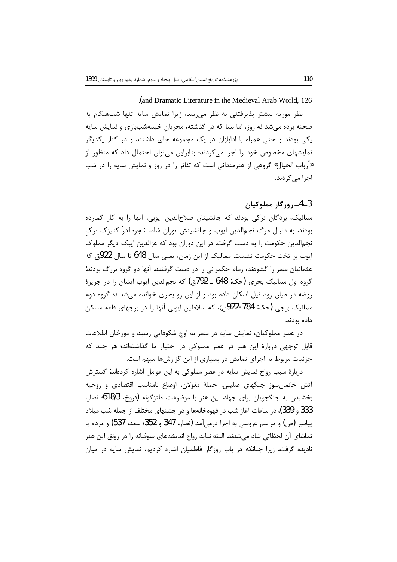and Dramatic Literature in the Medieval Arab World, 126

نظر موریه بیشتر پذیرفتنی به نظر می سد، زیرا نمایش سایه تنها شبهنگام به صحنه برده میشد نه روز، اما بسا که در گذشته، مجریان خیمهشببازی و نمایش سایه یکی بودند و حتی همراه با ادابازان در یک مجموعه جای داشتند و در کنار یکدیگر نمایشهای مخصوص خود را اجرا میکردند؛ بنابراین می توان احتمال داد که منظور از «أرباب الخيال» گروهي از هنرمنداني است كه تئاتر را در روز و نمايش سايه را در شب اجرا می کردند.

# 3ــ4ــ روزگار مملوكيان

ممالیک، بردگان ترکی بودند که جانشینان صلاحالدین ایوبی، آنها را به کار گمارده بودند. به دنبال مرگ نجمالدین ایوب و جانشینش توران شاه، شجرهالدر ّ کنیز ک تر ک نجم|لدین حکومت را به دست گرفت. در این دوران بود که عزالدین ایبک دیگر مملوک ايوب بر تخت حكومت نشست. مماليک از اين زمان، يعني سال 648 تا سال 922ق كه عثمانیان مصر را گشودند، زمام حکمرانی را در دست گرفتند. آنها دو گروه بزرگ بودند: گروه اول ممالیک بحری (حک: 648 ـ 792ق) که نجمالدین ایوب ایشان را در جزیرهٔ روضه در میان رود نیل اسکان داده بود و از این رو بحری خوانده میشدند؛ گروه دوم ممالیک برجی (حک: 784-922ق)، که سلاطین ایوبی آنها را در برجهای قلعه مسکن داده بودند.

در عصر مملوکیان، نمایش سایه در مصر به اوج شکوفایی رسید و مورخان اطلاعات قابل توجهی دربارهٔ این هنر در عصر مملوکی در اختیار ما گذاشتهاند؛ هر چند که جزئیات مربوط به اجرای نمایش در بسیاری از این گزارشها مبهم است.

دربارهٔ سبب رواج نمایش سایه در عصر مملوکی به این عوامل اشاره کردهاند: گسترش آتش خانمانسوز جنگهای صلیبی، حملهٔ مغولان، اوضاع نامناسب اقتصادی و روحیه بخشيدن به جنگجويان براي جهاد. اين هنر با موضوعات طنزگونه (فروخ، 18/36؛ نصار، 333 و 339)، در ساعات آغاز شب در قهوهخانهها و در جشنهای مختلف از جمله شب میلاد پیامبر (ص) و مراسم عروسی به اجرا درمیآمد (نصار، 347 و 352؛ سعد، 537) و مردم با تماشاي آن لحظاتي شاد مي شدند. البته نبايد رواج انديشههاي صوفيانه را در رونق اين هنر نادیده گرفت، زیرا چنانکه در باب روزگار فاطمیان اشاره کردیم، نمایش سایه در میان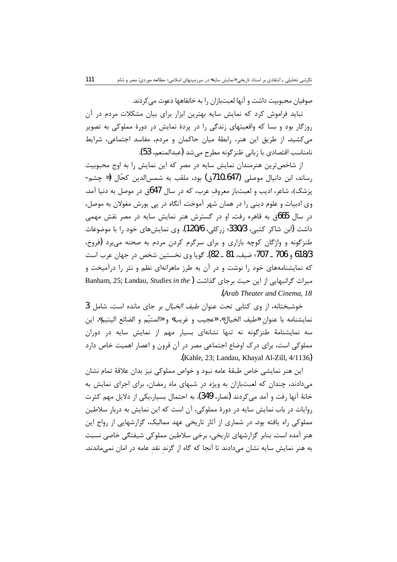صوفيان محبوبيت داشت و آنها لعبتبازان را به خانقاهها دعوت مي كردند.

نباید فراموش کرد که نمایش سایه بهترین ابزار برای بیان مشکلات مردم در آن روزگار بود و بسا که واقعیتهای زندگی را در پردهٔ نمایش در دورهٔ مملوکی به تصویر میکشید. از طریق این هنر، رابطهٔ میان حاکمان و مردم، مفاسد اجتماعی، شرایط نامناسب اقتصادي با زباني ظنز گونه مطرح مي شد (عبدالمنعم، 53).

از شاخصترین هنرمندان نمایش سایه در مصر که این نمایش را به اوج محبوبیت رساند، ابن دانیال موصلی (647ـ710ق) بود، ملقب به شمس|لدین کحّال (= چشم-پزشک)، شاعر، ادیب و لعبتباز معروف عرب، که در سال 647ق در موصل به دنیا آمد. وی ادبیات و علوم دینی را در همان شهر آموخت. آنگاه در پی پورش مغولان به موصل، در سال 665ق به قاهره رفت. او در گسترش هنر نمایش سایه در مصر نقش مهمی داشت (ابن شاكر كتبي، 330/3؛ زركلي، 120/6). وي نمايشهاي خود را با موضوعات طنزگونه و واژگان کوچه بازاری و برای سرگرم کردن مردم به صحنه می برد (فروخ، 618/3 و 706 ـ 707؛ ضيف، 81 ـ 82). گويا وي نخستين شخص در جهان عرب است که نمایشنامههای خود را نوشت و در آن به طرز ماهرانهای نظم و نثر را درآمیخت و Banham, 25; Landau, Studies in the) كذاشت Banham, 25; Landau, Studies in the) Arab Theater and Cinema, 18

خوشبختانه، از وى كتابى تحت عنوان *طيف الخيال* بر جاى مانده است، شامل 3 نمايشنامه با عنوان «طيف الخيال»، «عجيب و غريب» و «المتيّم و الضائع اليتيم». اين سه نمایشنامهٔ طنزگونه نه تنها نشانهای بسیار مهم از نمایش سایه در دوران مملوکی است، برای درک اوضاع اجتماعی مصر در آن قرون و اعصار اهمیت خاص دارد .(Kahle, 23; Landau, Khayal Al-Zill, 4/1136).

این هنر نمایشی خاص طبقهٔ عامه نبود و خواص مملوکی نیز بدان علاقهٔ تمام نشان می دادند، چندان که لعبتبازان به ویژه در شبهای ماه رمضان، برای اجرای نمایش به خانهٔ آنها , فت و آمد می کردند (نصار، 349). به احتمال بسیار،یکی از دلایل مهم کثرت روايات در باب نمايش سايه در دورهٔ مملوكي، آن است كه اين نمايش به دربار سلاطين مملوکی راه یافته بود. در شماری از آثار تاریخی عهد ممالیک، گزارشهایی از رواج این هنر آمده است. بنابر گزارشهای تاریخی، برخی سلاطین مملوکی شیفتگی خاصی نسبت به هنر نمایش سایه نشان میدادند تا آنجا که گاه از گزند نقد عامه در امان نمیماندند.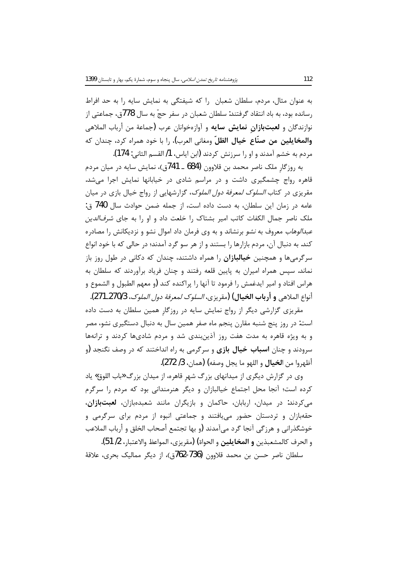به عنوان مثال، مردم، سلطان شعبان را که شیفتگی به نمایش سایه را به حد افراط رسانده بود، به باد انتقاد گرفتند: سلطان شعبان در سفر حجّ به سال 778ق، جماعتی از نوازندگان و **لعبتبازانِ نمایش سایه** و آوازهخوانان عرب (جماعة من أرباب الملاهی **والمخايلين من صنّاع خيال الظلّ** ومغاني العرب)، را با خود همراه كرد، چندان كه مردم به خشم آمدند و او را سرزنش کردند (ابن ایاس، 1/ القسم الثانی: 174).

به روزگار ملک ناصر محمد بن قلاوون (684 ـ 741ق)، نمایش سایه در میان مردم قاهره رواج چشمگیری داشت و در مراسم شادی در خیابانها نمایش اجرا می شد. مقریزی در کتاب *السلوک لمعرفة دول الملوک*، گزارشهایی از رواج خیال بازی در میان عامه در زمان این سلطان، به دست داده است، از جمله ضمن حوادث سال 740 ق: ملک ناصر جمال الکفات کاتب امیر بشتاک را خلعت داد و او را به جای *شرفالدین* عبد*الوهاب مع*روف به *نشو* برنشاند و به وی فرمان داد اموال نشو و نزدیکانش را مصادره کند. به دنبال آن، مردم بازارها را بستند و از هر سو گرد آمدند؛ در حالی که با خود انواع سرگرمیها و همچنین **خیالبازان** را همراه داشتند، چندان که دکانی در طول روز باز نماند. سپس همراه امیران به پایین قلعه رفتند و چنان فریاد برآوردند که سلطان به هراس افتاد و امير ايدغمش را فرمود تا آنها را پراكنده كند (و معهم الطبول و الشموع و أنواع الملاهي **و أرباب الخيال) (**مقريزي، *السلوك لمعرفة دول الملوك*، 270/3ـ271).

مقریزی گزارشی دیگر از رواج نمایش سایه در روزگار همین سلطان به دست داده است: در روز پنج شنبه مقارن پنجم ماه صفر همین سال به دنبال دستگیری نشو، مصر و به ویژه قاهره به مدت هفت روز آذینبندی شد و مردم شادیها کردند و ترانهها سرودند و چنان **اسباب خیال بازی** و سرگرمی به راه انداختند که در وصف نگنجد (و أظهروا من ا**لخيال** و اللهو ما يجل وصفه) (همان، 3/ 272).

وی در گزارش دیگری از میدانهای بزرگ شهر قاهره، از میدان بزرگ «باب اللوق» یاد کرده است؛ آنجا محل اجتماع خیالبازان و دیگر هنرمندانی بود که مردم را سرگرم می کردند: در میدان، اربابان، حاکمان و بازیگران مانند شعبدهبازان، لعبتبازان، حقهبازان و تردستان حضور می یافتند و جماعتی انبوه از مردم برای سرگرمی و خوشگذراني و هرزگي آنجا گرد مي آمدند (و بها تجتمع أصحاب الخلق و أرباب الملاعب

و الحرف كالمشعبذين **و المخايلين** و الحواة) (مقريزي، المواعظ والاعتبار، 2/ 51). سلطان ناصر حسن بن محمد قلاوون (736-762ق)، از دیگر ممالیک بحری، علاقهٔ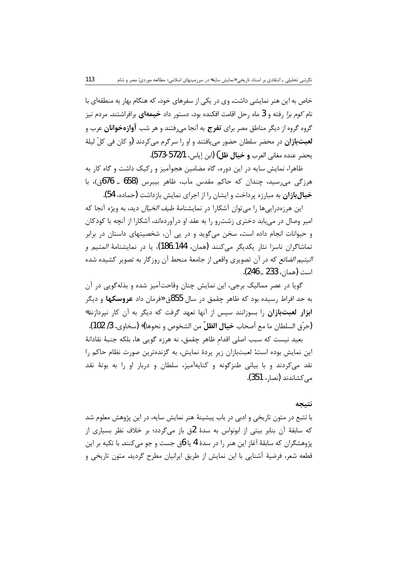خاص به این هنر نمایشی داشت. وی در یکی از سفرهای خود، که هنگام بهار به منطقهای با نام *کوم برا* رفته و 3 ماه رحل اقامت افکنده بود، دستور داد **خیمهای** برافراشتند. مردم نیز گروه گروه از دیگر مناطق مصر برای **تفرج** به آنجا می فتند و هر شب **آوازهخوانان** عرب و **لعبتبازان** در محضر سلطان حضور می یافتند و او را سرگرم می کردند (و کان فی کلّ لیلة يحضر عنده مغاني العرب **و خيال ظلّ) (**ابن إياس، 572/1-573).

113

ظاهرا، نمایش سایه در این دوره، گاه مضامین هجوآمیز و رکیک داشت و گاه کار به هرزگی میرسید، چندان که حاکم مقدس مآب، ظاهر بیبرس (658 ـ 676ق)، با خیالبازان به مبارزه پرداخت و ایشان را از اجرای نمایش بازداشت (حماده، 54).

این هرزهدرایی ها را می توان آشکارا در نمایشنامهٔ *طیف الخیال* دید، به ویژه آنجا که امیر وصال در می یابد دختری زشت و را به عقد او درآوردهاند، آشکارا از آنچه با کودکان و حیوانات انجام داده است، سخن میگوید و در پی آن، شخصیتهای داستان در برابر تماشاگران ناسزا نثار یکدیگر میکنند (همان، 144ـ186)، یا در نمایشنامهٔ *المتیم و اليتيم الضائع* كه در آن تصويري واقعي از جامعهٔ منحط آن روزگار به تصوير كشيده شده است (همان، 233 ــ 246).

گویا در عصر ممالیک برجی، این نمایش چنان وقاحتآمیز شده و بذلهگویی در آن به حد افراط رسیده بود که ظاهر چقمق در سال 855ق «فرمان داد **عروسکها** و دیگر ابزار لعبتبازان را بسوزانند سیس از آنها تعهد گرفت که دیگر به آن کار نیردازند» (حرّق السلطان ما مع أصحاب **خيال الظلّ** من الشخوص و نحوها)» (سخاوي، 3/ 102).

بعید نیست که سبب اصلی اقدام ظاهر چقمق، نه هرزه گویی ها، بلکه جنبهٔ نقادانهٔ این نمایش بوده است: لعبتبازان زیر پردهٔ نمایش، به گزندهترین صورت نظام حاکم را نقد میکردند و با بیانی طنزگونه و کنایهآمیز، سلطان و دربار او را به بوتهٔ نقد مے کشاندند (نصار، 351).

#### نتىجە

با تتبع در متون تاریخی و ادبی در باب پیشینهٔ هنر نمایش سایه، در این پژوهش معلوم شد که سابقهٔ آن بنابر بیتی از ابونواس به سدهٔ 2ق باز می¢دد؛ بر خلاف نظر بسیاری از يژوهشگران كه سابقهٔ آغاز اين هنر را در سدهٔ 4 يا 6ق جست و جو مي كنند. با تكيه بر اين قطعه شعر، فرضيهٔ آشنايي با اين نمايش از طريق ايرانيان مطرح گرديد. متون تاريخي و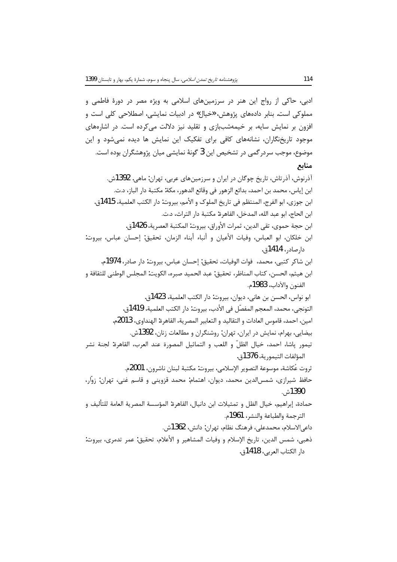ادبی، حاکی از رواج این هنر در سرزمینهای اسلامی به ویژه مصر در دورهٔ فاطمی و مملوکي است. بنابر دادههاي پژوهش، «خيال» در ادبيات نمايشي، اصطلاحي کلي است و افزون بر نمایش سایه، بر خیمهشببازی و تقلید نیز دلالت میکرده است. در اشارههای موجود تاریخنگاران، نشانههای کافی برای تفکیک این نمایش ها دیده نمیشود و این موضوع، موجب سردر گمی در تشخیص این 3 گونهٔ نمایشی میان پژوهشگران بوده است. منابع آذرنوش، آذرتاش، تاریخ چوگان در ایران و سرزمینهای عربی، تهران: ماهی. 1392ش. ابن إياس، محمد بن احمد، بدائع الزهور في وقائع الدهور، مكة: مكتبة دار الباز، د.ت. ابن جوزي، ابو الفرج، المنتظم في تاريخ الملوك و الأمم، بيروت: دار الكتب العلمية، 1415ق. ابن الحاج، ابو عبد الله، المدخل، القاهرة: مكتبة دار التراث، د.ت. ابن حجة حموي، تقى الدين، ثمرات الأوراق، بيروت: المكتبة العصرية، 1426ق. ابن خلكان، ابو العباس، وفيات الأعيان و أنباء أبناء الزمان، تحقيق: إحسان عباس، بيروت: دارصادر، 1414ق. ابن شاكر كتبي، محمد، فوات الوفيات، تحقيق: إحسان عباس، بيروت: دار صادر، 1974م. ابن هيثم، الحسن، كتاب المناظر، تحقيق: عبد الحميد صبره، الكويت: المجلس الوطني للثقافة و الفنون والآداب، 1983م. ابو نواس، الحسن بن هاني، ديوان، بيروت: دار الكتب العلمية، 1423ق. التونجي، محمد، المعجم المفصّل في الأدب، بيروت: دار الكتب العلمية، 1419ة.. امين، احمد، قاموس العادات و التقاليد و التعابير المصرية، القاهرة: الهنداوي، 2013م. بيضايي، بهرام، نمايش در ايران، تهران: روشنگران و مطالعات زنان، 1392ش. تيمور پاشا، احمد، خيال الظلّ و اللعب و التماثيل المصورة عند العرب، القاهرة: لجنة نشر المؤلفات التيمورية، 1376ق. ثروت عُكاشة، موسوعة التصوير الإسلامي، بيروت: مكتبة لبنان ناشرون، 2001م. حافظ شیرازی، شمس|لدین محمد، دیوان، اهتمام: محمد قزوینی و قاسم غنی، تهران: زوّار، 1390ش. حمادة، إبراهيم، خيال الظل و تمثيلات ابن دانيال، القاهرة: المؤسسة المصرية العامة للتأليف و الترجمة والطباعة والنشر، 1961م. داعي|لاسلام، محمدعلي، فرهنگ نظام، تهران: دانش، 1362ش. ذهبي، شمس الدين، تاريخ الإسلام و وفيات المشاهير و الأعلام، تحقيق: عمر تدمري، بيروت: دار الكتاب العربي، 1418ق.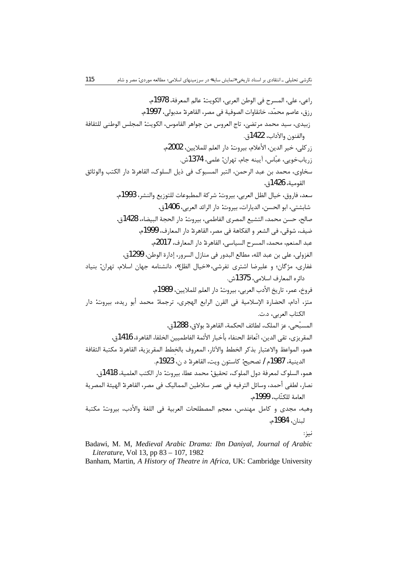Badawi, M. M, Medieval Arabic Drama: Ibn Daniyal, Journal of Arabic Literature, Vol 13, pp 83 - 107, 1982

Banham, Martin, A History of Theatre in Africa, UK: Cambridge University